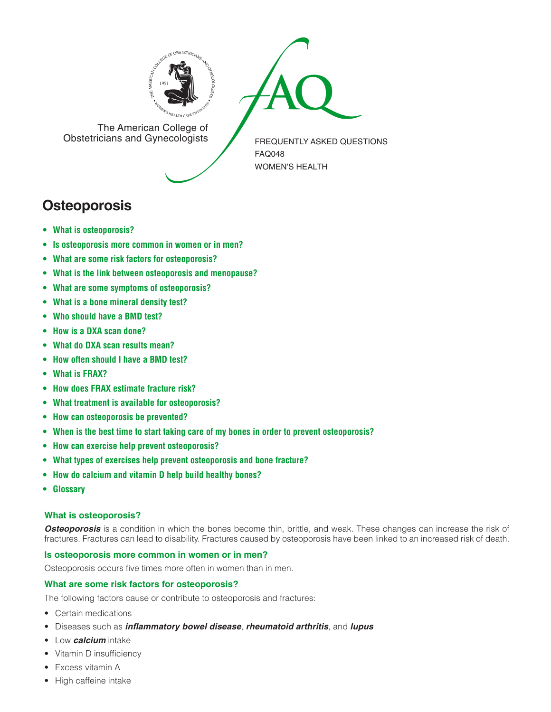



The American College of<br>Obstetricians and Gynecologists

FREQUENTLY ASKED QUESTIONS FAQ048 WOMEN'S HEALTH

# **Osteoporosis**

- **• What is [osteoporosis?](#page-0-0)**
- **• Is [osteoporosis](#page-0-1) more common in women or in men?**
- **• What are some risk factors for [osteoporosis?](#page-0-2)**
- **• What is the link between osteoporosis and [menopause?](#page-1-0)**
- **• What are some symptoms of [osteoporosis?](#page-1-1)**
- **[• What](#page-1-2) is a bone mineral density test?**
- **[• Who](#page-1-3) should have a BMD test?**
- **[• How](#page-1-4) is a DXA scan done?**
- **[• What](#page-1-5) do DXA scan results mean?**
- **[• How](#page-1-6) often should I have a BMD test?**
- **[• What](#page-1-7) is FRAX?**
- **• How does FRAX [estimate](#page-1-8) fracture risk?**
- **• What treatment is available for [osteoporosis?](#page-1-9)**
- **• How can [osteoporosis](#page-1-10) be prevented?**
- **• When is the best time to start taking care of my bones in order to prevent [osteoporosis?](#page-2-0)**
- **• How can exercise help prevent [osteoporosis?](#page-2-1)**
- **• What types of exercises help prevent [osteoporosis](#page-2-2) and bone fracture?**
- **• How do [calcium](#page-2-3) and vitamin D help build healthy bones?**
- **[• Glossary](#page-2-4)**

# <span id="page-0-0"></span>**What is osteoporosis?**

**Osteoporosis** is a condition in which the bones become thin, brittle, and weak. These changes can increase the risk of fractures. Fractures can lead to disability. Fractures caused by osteoporosis have been linked to an increased risk of death.

## <span id="page-0-1"></span>**Is osteoporosis more common in women or in men?**

Osteoporosis occurs five times more often in women than in men.

# <span id="page-0-2"></span>**What are some risk factors for osteoporosis?**

The following factors cause or contribute to osteoporosis and fractures:

- • Certain medications
- • Diseases such as *inflammatory bowel disease*, *rheumatoid arthritis*, and *lupus*
- • Low *calcium* intake
- Vitamin D insufficiency
- Excess vitamin A
- High caffeine intake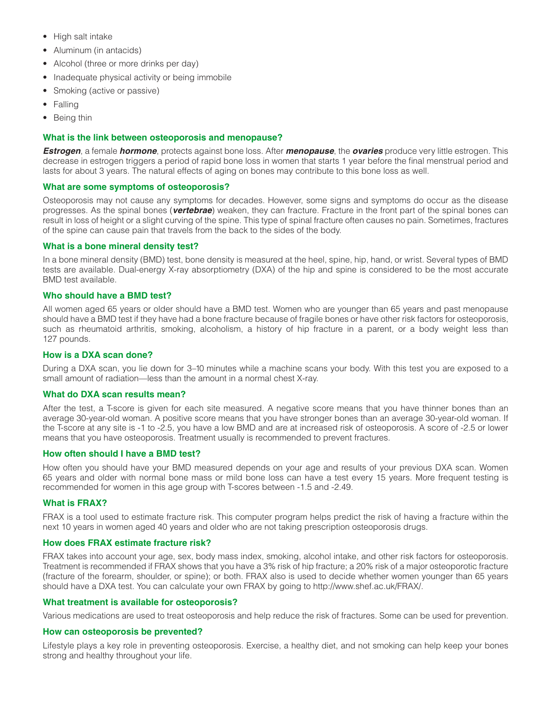- High salt intake
- Aluminum (in antacids)
- Alcohol (three or more drinks per day)
- Inadequate physical activity or being immobile
- Smoking (active or passive)
- Falling
- Being thin

## <span id="page-1-0"></span>**What is the link between osteoporosis and menopause?**

*Estrogen*, a female *hormone*, protects against bone loss. After *menopause*, the *ovaries* produce very little estrogen. This decrease in estrogen triggers a period of rapid bone loss in women that starts 1 year before the final menstrual period and lasts for about 3 years. The natural effects of aging on bones may contribute to this bone loss as well.

## <span id="page-1-1"></span>**What are some symptoms of osteoporosis?**

Osteoporosis may not cause any symptoms for decades. However, some signs and symptoms do occur as the disease progresses. As the spinal bones (*vertebrae*) weaken, they can fracture. Fracture in the front part of the spinal bones can result in loss of height or a slight curving of the spine. This type of spinal fracture often causes no pain. Sometimes, fractures of the spine can cause pain that travels from the back to the sides of the body.

## <span id="page-1-2"></span>**What is a bone mineral density test?**

In a bone mineral density (BMD) test, bone density is measured at the heel, spine, hip, hand, or wrist. Several types of BMD tests are available. Dual-energy X-ray absorptiometry (DXA) of the hip and spine is considered to be the most accurate BMD test available.

## <span id="page-1-3"></span>**Who should have a BMD test?**

All women aged 65 years or older should have a BMD test. Women who are younger than 65 years and past menopause should have a BMD test if they have had a bone fracture because of fragile bones or have other risk factors for osteoporosis, such as rheumatoid arthritis, smoking, alcoholism, a history of hip fracture in a parent, or a body weight less than 127 pounds.

## <span id="page-1-4"></span>**How is a DXA scan done?**

During a DXA scan, you lie down for 3–10 minutes while a machine scans your body. With this test you are exposed to a small amount of radiation—less than the amount in a normal chest X-ray.

## <span id="page-1-5"></span>**What do DXA scan results mean?**

After the test, a T-score is given for each site measured. A negative score means that you have thinner bones than an average 30-year-old woman. A positive score means that you have stronger bones than an average 30-year-old woman. If the T-score at any site is -1 to -2.5, you have a low BMD and are at increased risk of osteoporosis. A score of -2.5 or lower means that you have osteoporosis. Treatment usually is recommended to prevent fractures.

## <span id="page-1-6"></span>**How often should I have a BMD test?**

How often you should have your BMD measured depends on your age and results of your previous DXA scan. Women 65 years and older with normal bone mass or mild bone loss can have a test every 15 years. More frequent testing is recommended for women in this age group with T-scores between -1.5 and -2.49.

## <span id="page-1-7"></span>**What is FRAX?**

FRAX is a tool used to estimate fracture risk. This computer program helps predict the risk of having a fracture within the next 10 years in women aged 40 years and older who are not taking prescription osteoporosis drugs.

## <span id="page-1-8"></span>**How does FRAX estimate fracture risk?**

FRAX takes into account your age, sex, body mass index, smoking, alcohol intake, and other risk factors for osteoporosis. Treatment is recommended if FRAX shows that you have a 3% risk of hip fracture; a 20% risk of a major osteoporotic fracture (fracture of the forearm, shoulder, or spine); or both. FRAX also is used to decide whether women younger than 65 years should have a DXA test. You can calculate your own FRAX by going to <http://www.shef.ac.uk/FRAX/>.

## <span id="page-1-9"></span>**What treatment is available for osteoporosis?**

Various medications are used to treat osteoporosis and help reduce the risk of fractures. Some can be used for prevention.

## <span id="page-1-10"></span>**How can osteoporosis be prevented?**

Lifestyle plays a key role in preventing osteoporosis. Exercise, a healthy diet, and not smoking can help keep your bones strong and healthy throughout your life.